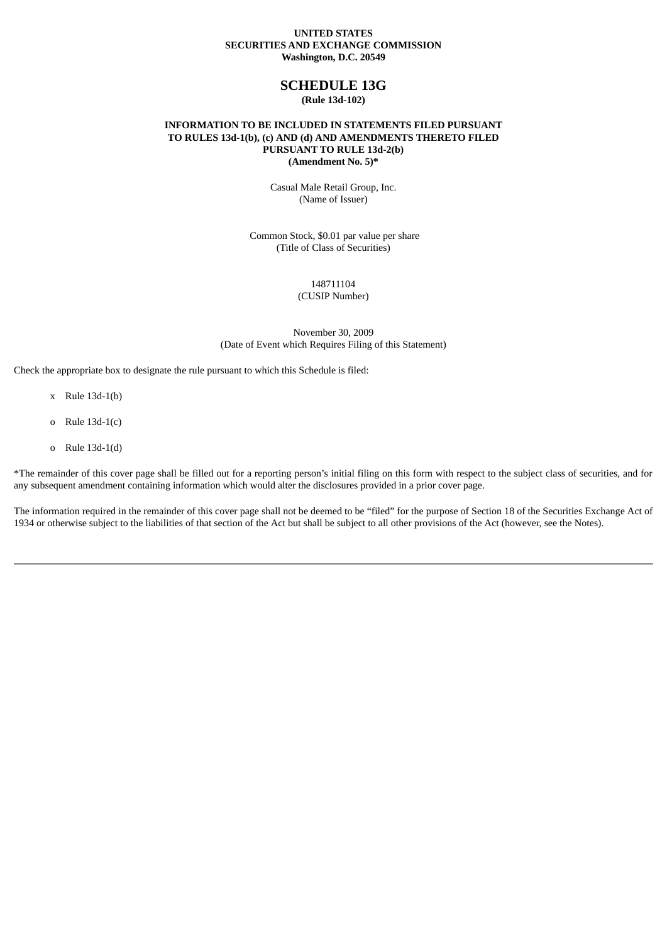#### **UNITED STATES SECURITIES AND EXCHANGE COMMISSION Washington, D.C. 20549**

## **SCHEDULE 13G**

**(Rule 13d-102)**

### **INFORMATION TO BE INCLUDED IN STATEMENTS FILED PURSUANT TO RULES 13d-1(b), (c) AND (d) AND AMENDMENTS THERETO FILED PURSUANT TO RULE 13d-2(b) (Amendment No. 5)\***

Casual Male Retail Group, Inc. (Name of Issuer)

Common Stock, \$0.01 par value per share (Title of Class of Securities)

148711104

(CUSIP Number)

November 30, 2009 (Date of Event which Requires Filing of this Statement)

Check the appropriate box to designate the rule pursuant to which this Schedule is filed:

- x Rule 13d-1(b)
- o Rule 13d-1(c)
- o Rule 13d-1(d)

\*The remainder of this cover page shall be filled out for a reporting person's initial filing on this form with respect to the subject class of securities, and for any subsequent amendment containing information which would alter the disclosures provided in a prior cover page.

The information required in the remainder of this cover page shall not be deemed to be "filed" for the purpose of Section 18 of the Securities Exchange Act of 1934 or otherwise subject to the liabilities of that section of the Act but shall be subject to all other provisions of the Act (however, see the Notes).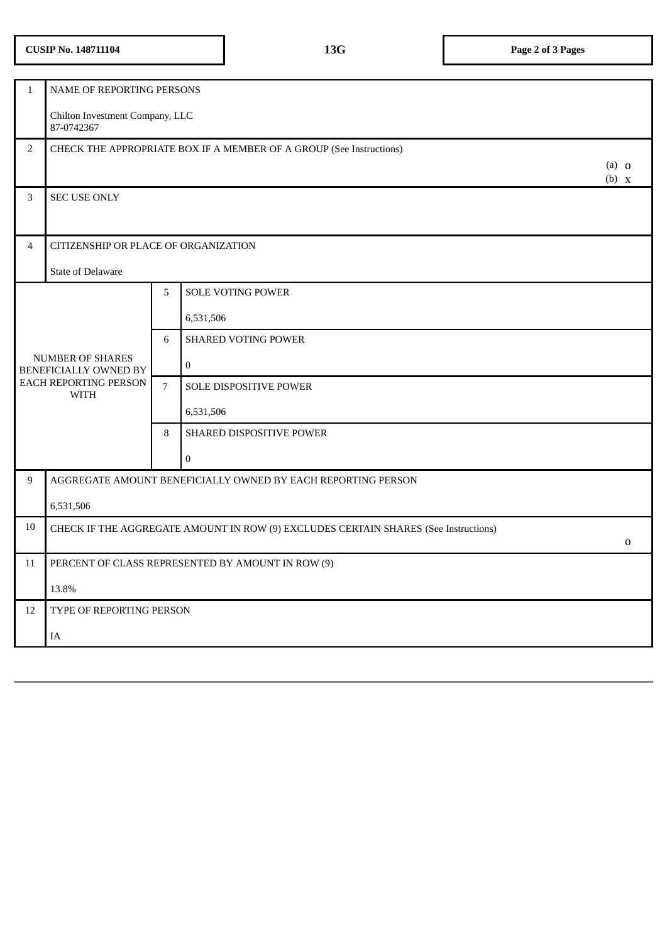# **CUSIP No. 148711104 13G Page 2 of 3 Pages**

| $\mathbf{1}$                                | NAME OF REPORTING PERSONS                                                           |                |                            |  |  |  |
|---------------------------------------------|-------------------------------------------------------------------------------------|----------------|----------------------------|--|--|--|
|                                             | Chilton Investment Company, LLC<br>87-0742367                                       |                |                            |  |  |  |
| $\overline{2}$                              | CHECK THE APPROPRIATE BOX IF A MEMBER OF A GROUP (See Instructions)                 |                |                            |  |  |  |
|                                             |                                                                                     |                | $(a)$ 0<br>$(b)$ x         |  |  |  |
| 3                                           | <b>SEC USE ONLY</b>                                                                 |                |                            |  |  |  |
|                                             |                                                                                     |                |                            |  |  |  |
| 4                                           | CITIZENSHIP OR PLACE OF ORGANIZATION                                                |                |                            |  |  |  |
|                                             | <b>State of Delaware</b>                                                            |                |                            |  |  |  |
|                                             |                                                                                     | 5              | SOLE VOTING POWER          |  |  |  |
|                                             | <b>NUMBER OF SHARES</b><br>BENEFICIALLY OWNED BY                                    |                | 6,531,506                  |  |  |  |
|                                             |                                                                                     |                | <b>SHARED VOTING POWER</b> |  |  |  |
|                                             |                                                                                     |                | $\pmb{0}$                  |  |  |  |
| <b>EACH REPORTING PERSON</b><br><b>WITH</b> |                                                                                     | $\overline{7}$ | SOLE DISPOSITIVE POWER     |  |  |  |
|                                             |                                                                                     |                | 6,531,506                  |  |  |  |
|                                             |                                                                                     | 8              | SHARED DISPOSITIVE POWER   |  |  |  |
|                                             |                                                                                     |                | $\boldsymbol{0}$           |  |  |  |
| 9                                           | AGGREGATE AMOUNT BENEFICIALLY OWNED BY EACH REPORTING PERSON                        |                |                            |  |  |  |
|                                             | 6,531,506                                                                           |                |                            |  |  |  |
| 10                                          | CHECK IF THE AGGREGATE AMOUNT IN ROW (9) EXCLUDES CERTAIN SHARES (See Instructions) |                |                            |  |  |  |
| 11                                          | $\mathbf 0$                                                                         |                |                            |  |  |  |
|                                             | PERCENT OF CLASS REPRESENTED BY AMOUNT IN ROW (9)                                   |                |                            |  |  |  |
|                                             | 13.8%                                                                               |                |                            |  |  |  |
| 12                                          | TYPE OF REPORTING PERSON                                                            |                |                            |  |  |  |
|                                             | IA                                                                                  |                |                            |  |  |  |